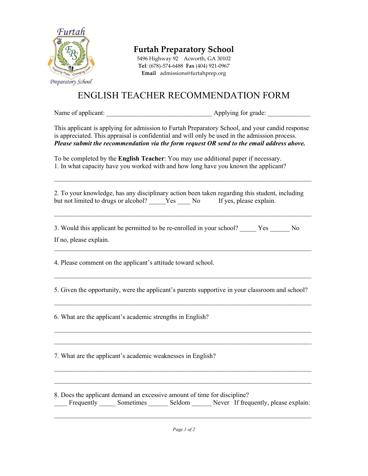

Furtah Preparatory School

5496 Highway 92 Acworth, GA 30102 Tel: (678)-574-6488 Fax (404) 921-0967 Email admissions@furtahprep.org

## ENGLISH TEACHER RECOMMENDATION FORM

Name of applicant: \_\_\_\_\_\_\_\_\_\_\_\_\_\_\_\_\_\_\_\_\_\_\_\_\_\_\_\_\_\_\_\_ Applying for grade: \_\_\_\_\_\_\_\_\_\_\_\_\_

This applicant is applying for admission to Furtah Preparatory School, and your candid response is appreciated. This appraisal is confidential and will only be used in the admission process. Please submit the recommendation via the form request OR send to the email address above.

To be completed by the **English Teacher**: You may use additional paper if necessary. 1. In what capacity have you worked with and how long have you known the applicant?

2. To your knowledge, has any disciplinary action been taken regarding this student, including but not limited to drugs or alcohol? Yes No If yes, please explain.

 $\mathcal{L}_\mathcal{L} = \{ \mathcal{L}_\mathcal{L} = \{ \mathcal{L}_\mathcal{L} = \{ \mathcal{L}_\mathcal{L} = \{ \mathcal{L}_\mathcal{L} = \{ \mathcal{L}_\mathcal{L} = \{ \mathcal{L}_\mathcal{L} = \{ \mathcal{L}_\mathcal{L} = \{ \mathcal{L}_\mathcal{L} = \{ \mathcal{L}_\mathcal{L} = \{ \mathcal{L}_\mathcal{L} = \{ \mathcal{L}_\mathcal{L} = \{ \mathcal{L}_\mathcal{L} = \{ \mathcal{L}_\mathcal{L} = \{ \mathcal{L}_\mathcal{$ 

 $\mathcal{L}_\mathcal{L} = \{ \mathcal{L}_\mathcal{L} = \{ \mathcal{L}_\mathcal{L} = \{ \mathcal{L}_\mathcal{L} = \{ \mathcal{L}_\mathcal{L} = \{ \mathcal{L}_\mathcal{L} = \{ \mathcal{L}_\mathcal{L} = \{ \mathcal{L}_\mathcal{L} = \{ \mathcal{L}_\mathcal{L} = \{ \mathcal{L}_\mathcal{L} = \{ \mathcal{L}_\mathcal{L} = \{ \mathcal{L}_\mathcal{L} = \{ \mathcal{L}_\mathcal{L} = \{ \mathcal{L}_\mathcal{L} = \{ \mathcal{L}_\mathcal{$ 

 $\mathcal{L}_\text{max}$  and  $\mathcal{L}_\text{max}$  and  $\mathcal{L}_\text{max}$  and  $\mathcal{L}_\text{max}$  and  $\mathcal{L}_\text{max}$  and  $\mathcal{L}_\text{max}$ 

3. Would this applicant be permitted to be re-enrolled in your school? Yes No If no, please explain.

4. Please comment on the applicant's attitude toward school.

5. Given the opportunity, were the applicant's parents supportive in your classroom and school?

 $\mathcal{L}_\text{max}$  and  $\mathcal{L}_\text{max}$  and  $\mathcal{L}_\text{max}$  and  $\mathcal{L}_\text{max}$  and  $\mathcal{L}_\text{max}$  and  $\mathcal{L}_\text{max}$ 

 $\mathcal{L}_\mathcal{L} = \{ \mathcal{L}_\mathcal{L} = \{ \mathcal{L}_\mathcal{L} = \{ \mathcal{L}_\mathcal{L} = \{ \mathcal{L}_\mathcal{L} = \{ \mathcal{L}_\mathcal{L} = \{ \mathcal{L}_\mathcal{L} = \{ \mathcal{L}_\mathcal{L} = \{ \mathcal{L}_\mathcal{L} = \{ \mathcal{L}_\mathcal{L} = \{ \mathcal{L}_\mathcal{L} = \{ \mathcal{L}_\mathcal{L} = \{ \mathcal{L}_\mathcal{L} = \{ \mathcal{L}_\mathcal{L} = \{ \mathcal{L}_\mathcal{$  $\mathcal{L}_\mathcal{L} = \{ \mathcal{L}_\mathcal{L} = \{ \mathcal{L}_\mathcal{L} = \{ \mathcal{L}_\mathcal{L} = \{ \mathcal{L}_\mathcal{L} = \{ \mathcal{L}_\mathcal{L} = \{ \mathcal{L}_\mathcal{L} = \{ \mathcal{L}_\mathcal{L} = \{ \mathcal{L}_\mathcal{L} = \{ \mathcal{L}_\mathcal{L} = \{ \mathcal{L}_\mathcal{L} = \{ \mathcal{L}_\mathcal{L} = \{ \mathcal{L}_\mathcal{L} = \{ \mathcal{L}_\mathcal{L} = \{ \mathcal{L}_\mathcal{$ 

 $\mathcal{L}_\mathcal{L} = \{ \mathcal{L}_\mathcal{L} = \{ \mathcal{L}_\mathcal{L} = \{ \mathcal{L}_\mathcal{L} = \{ \mathcal{L}_\mathcal{L} = \{ \mathcal{L}_\mathcal{L} = \{ \mathcal{L}_\mathcal{L} = \{ \mathcal{L}_\mathcal{L} = \{ \mathcal{L}_\mathcal{L} = \{ \mathcal{L}_\mathcal{L} = \{ \mathcal{L}_\mathcal{L} = \{ \mathcal{L}_\mathcal{L} = \{ \mathcal{L}_\mathcal{L} = \{ \mathcal{L}_\mathcal{L} = \{ \mathcal{L}_\mathcal{$ 

6. What are the applicant's academic strengths in English?

7. What are the applicant's academic weaknesses in English?

8. Does the applicant demand an excessive amount of time for discipline? \_\_\_\_ Frequently \_\_\_\_\_ Sometimes \_\_\_\_\_\_ Seldom \_\_\_\_\_\_ Never If frequently, please explain:

 $\mathcal{L}_\text{max}$  and  $\mathcal{L}_\text{max}$  and  $\mathcal{L}_\text{max}$  and  $\mathcal{L}_\text{max}$  and  $\mathcal{L}_\text{max}$  and  $\mathcal{L}_\text{max}$ 

 $\mathcal{L}_\mathcal{L} = \{ \mathcal{L}_\mathcal{L} = \{ \mathcal{L}_\mathcal{L} = \{ \mathcal{L}_\mathcal{L} = \{ \mathcal{L}_\mathcal{L} = \{ \mathcal{L}_\mathcal{L} = \{ \mathcal{L}_\mathcal{L} = \{ \mathcal{L}_\mathcal{L} = \{ \mathcal{L}_\mathcal{L} = \{ \mathcal{L}_\mathcal{L} = \{ \mathcal{L}_\mathcal{L} = \{ \mathcal{L}_\mathcal{L} = \{ \mathcal{L}_\mathcal{L} = \{ \mathcal{L}_\mathcal{L} = \{ \mathcal{L}_\mathcal{$  $\mathcal{L}_\text{max}$  and  $\mathcal{L}_\text{max}$  and  $\mathcal{L}_\text{max}$  and  $\mathcal{L}_\text{max}$  and  $\mathcal{L}_\text{max}$  and  $\mathcal{L}_\text{max}$